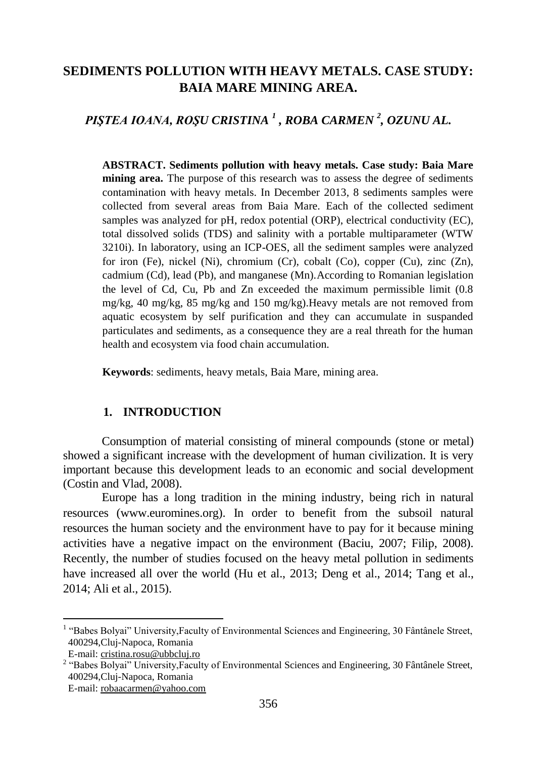# **SEDIMENTS POLLUTION WITH HEAVY METALS. CASE STUDY: BAIA MARE MINING AREA.**

*PIŞTEA IOANA, ROŞU CRISTINA <sup>1</sup> , ROBA CARMEN <sup>2</sup> , OZUNU AL.* 

**ABSTRACT. Sediments pollution with heavy metals. Case study: Baia Mare mining area.** The purpose of this research was to assess the degree of sediments contamination with heavy metals. In December 2013, 8 sediments samples were collected from several areas from Baia Mare. Each of the collected sediment samples was analyzed for pH, redox potential (ORP), electrical conductivity (EC), total dissolved solids (TDS) and salinity with a portable multiparameter (WTW 3210i). In laboratory, using an ICP-OES, all the sediment samples were analyzed for iron (Fe), nickel (Ni), chromium (Cr), cobalt (Co), copper (Cu), zinc  $(Zn)$ , cadmium (Cd), lead (Pb), and manganese (Mn).According to Romanian legislation the level of Cd, Cu, Pb and Zn exceeded the maximum permissible limit (0.8 mg/kg, 40 mg/kg, 85 mg/kg and 150 mg/kg).Heavy metals are not removed from aquatic ecosystem by self purification and they can accumulate in suspanded particulates and sediments, as a consequence they are a real threath for the human health and ecosystem via food chain accumulation.

**Keywords**: sediments, heavy metals, Baia Mare, mining area.

## **1. INTRODUCTION**

Consumption of material consisting of mineral compounds (stone or metal) showed a significant increase with the development of human civilization. It is very important because this development leads to an economic and social development (Costin and Vlad, 2008).

Europe has a long tradition in the mining industry, being rich in natural resources [\(www.euromines.org\)](http://www.euromines.org/). In order to benefit from the subsoil natural resources the human society and the environment have to pay for it because mining activities have a negative impact on the environment (Baciu, 2007; Filip, 2008). Recently, the number of studies focused on the heavy metal pollution in sediments have increased all over the world (Hu et al., 2013; Deng et al., 2014; Tang et al., 2014; Ali et al., 2015).

 $\overline{\phantom{a}}$ 

<sup>&</sup>lt;sup>1</sup> "Babes Bolyai" University, Faculty of Environmental Sciences and Engineering, 30 Fântânele Street, 400294,Cluj-Napoca, Romania

E-mail[: cristina.rosu@ubbcluj.ro](mailto:cristina.rosu@ubbcluj.ro)

<sup>&</sup>lt;sup>2</sup> "Babes Bolyai" University, Faculty of Environmental Sciences and Engineering, 30 Fântânele Street, 400294,Cluj-Napoca, Romania E-mail: robaacarmen@yahoo.com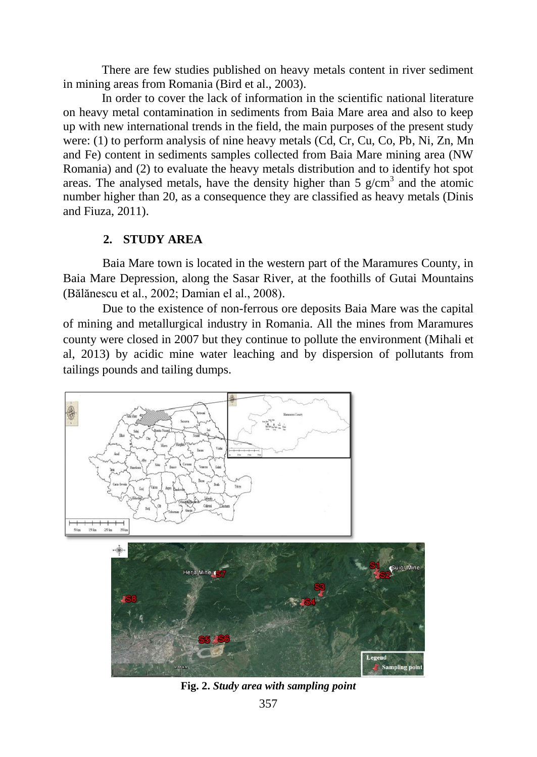There are few studies published on heavy metals content in river sediment in mining areas from Romania (Bird et al., 2003).

In order to cover the lack of information in the scientific national literature on heavy metal contamination in sediments from Baia Mare area and also to keep up with new international trends in the field, the main purposes of the present study were: (1) to perform analysis of nine heavy metals (Cd, Cr, Cu, Co, Pb, Ni, Zn, Mn and Fe) content in sediments samples collected from Baia Mare mining area (NW Romania) and (2) to evaluate the heavy metals distribution and to identify hot spot areas. The analysed metals, have the density higher than 5  $g/cm<sup>3</sup>$  and the atomic number higher than 20, as a consequence they are classified as heavy metals (Dinis and Fiuza, 2011).

# **2. STUDY AREA**

Baia Mare town is located in the western part of the Maramures County, in Baia Mare Depression, along the Sasar River, at the foothills of Gutai Mountains (Bălănescu et al., 2002; Damian el al., 2008).

Due to the existence of non-ferrous ore deposits Baia Mare was the capital of mining and metallurgical industry in Romania. All the mines from Maramures county were closed in 2007 but they continue to pollute the environment (Mihali et al, 2013) by acidic mine water leaching and by dispersion of pollutants from tailings pounds and tailing dumps.



**Fig. 2.** *Study area with sampling point*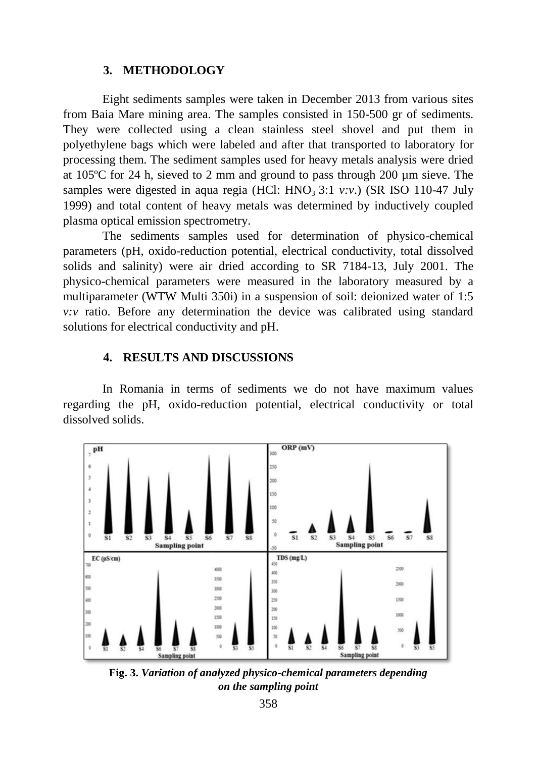### **3. METHODOLOGY**

Eight sediments samples were taken in December 2013 from various sites from Baia Mare mining area. The samples consisted in 150-500 gr of sediments. They were collected using a clean stainless steel shovel and put them in polyethylene bags which were labeled and after that transported to laboratory for processing them. The sediment samples used for heavy metals analysis were dried at 105ºC for 24 h, sieved to 2 mm and ground to pass through 200 µm sieve. The samples were digested in aqua regia (HCl:  $HNO<sub>3</sub>$  3:1  $v.v.$ ) (SR ISO 110-47 July 1999) and total content of heavy metals was determined by inductively coupled plasma optical emission spectrometry.

The sediments samples used for determination of physico-chemical parameters (pH, oxido-reduction potential, electrical conductivity, total dissolved solids and salinity) were air dried according to SR 7184-13, July 2001. The physico-chemical parameters were measured in the laboratory measured by a multiparameter (WTW Multi 350i) in a suspension of soil: deionized water of 1:5 *v:v* ratio. Before any determination the device was calibrated using standard solutions for electrical conductivity and pH.

## **4. RESULTS AND DISCUSSIONS**

In Romania in terms of sediments we do not have maximum values regarding the pH, oxido-reduction potential, electrical conductivity or total dissolved solids.



**Fig. 3.** *Variation of analyzed physico-chemical parameters depending on the sampling point*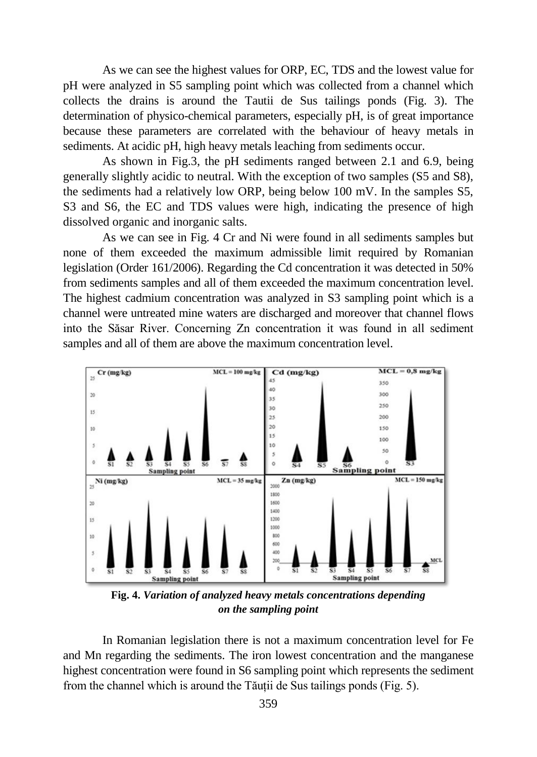As we can see the highest values for ORP, EC, TDS and the lowest value for pH were analyzed in S5 sampling point which was collected from a channel which collects the drains is around the Tautii de Sus tailings ponds (Fig. 3). The determination of physico-chemical parameters, especially pH, is of great importance because these parameters are correlated with the behaviour of heavy metals in sediments. At acidic pH, high heavy metals leaching from sediments occur.

As shown in Fig.3, the pH sediments ranged between 2.1 and 6.9, being generally slightly acidic to neutral. With the exception of two samples (S5 and S8), the sediments had a relatively low ORP, being below 100 mV. In the samples S5, S3 and S6, the EC and TDS values were high, indicating the presence of high dissolved organic and inorganic salts.

As we can see in Fig. 4 Cr and Ni were found in all sediments samples but none of them exceeded the maximum admissible limit required by Romanian legislation (Order 161/2006). Regarding the Cd concentration it was detected in 50% from sediments samples and all of them exceeded the maximum concentration level. The highest cadmium concentration was analyzed in S3 sampling point which is a channel were untreated mine waters are discharged and moreover that channel flows into the Săsar River. Concerning Zn concentration it was found in all sediment samples and all of them are above the maximum concentration level.



**Fig. 4.** *Variation of analyzed heavy metals concentrations depending on the sampling point*

In Romanian legislation there is not a maximum concentration level for Fe and Mn regarding the sediments. The iron lowest concentration and the manganese highest concentration were found in S6 sampling point which represents the sediment from the channel which is around the Tăuții de Sus tailings ponds (Fig. 5).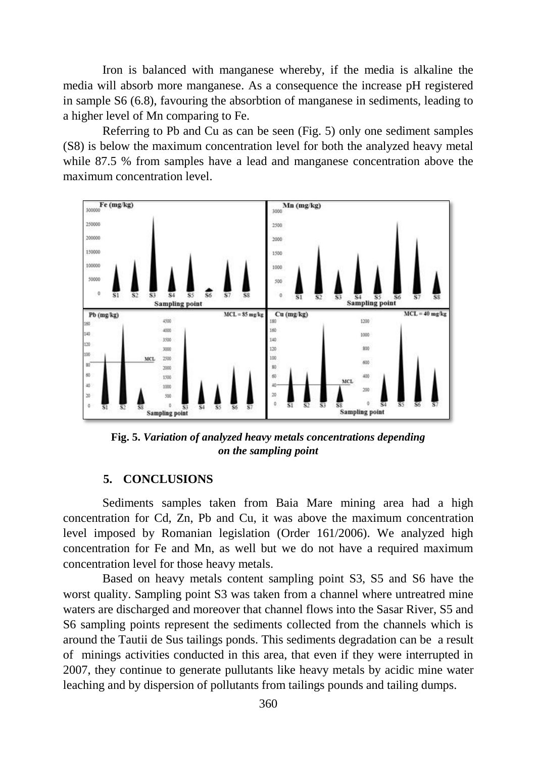Iron is balanced with manganese whereby, if the media is alkaline the media will absorb more manganese. As a consequence the increase pH registered in sample S6 (6.8), favouring the absorbtion of manganese in sediments, leading to a higher level of Mn comparing to Fe.

Referring to Pb and Cu as can be seen (Fig. 5) only one sediment samples (S8) is below the maximum concentration level for both the analyzed heavy metal while 87.5 % from samples have a lead and manganese concentration above the maximum concentration level.



**Fig. 5.** *Variation of analyzed heavy metals concentrations depending on the sampling point*

### **5. CONCLUSIONS**

Sediments samples taken from Baia Mare mining area had a high concentration for Cd, Zn, Pb and Cu, it was above the maximum concentration level imposed by Romanian legislation (Order 161/2006). We analyzed high concentration for Fe and Mn, as well but we do not have a required maximum concentration level for those heavy metals.

Based on heavy metals content sampling point S3, S5 and S6 have the worst quality. Sampling point S3 was taken from a channel where untreatred mine waters are discharged and moreover that channel flows into the Sasar River, S5 and S6 sampling points represent the sediments collected from the channels which is around the Tautii de Sus tailings ponds. This sediments degradation can be a result of minings activities conducted in this area, that even if they were interrupted in 2007, they continue to generate pullutants like heavy metals by acidic mine water leaching and by dispersion of pollutants from tailings pounds and tailing dumps.